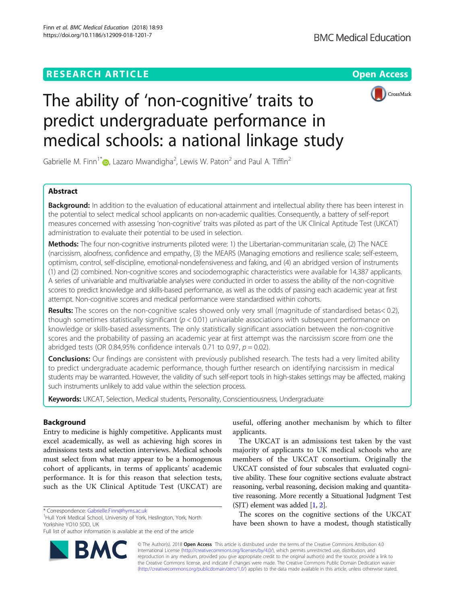# **RESEARCH ARTICLE Example 2018 12:30 THE Open Access**



# The ability of 'non-cognitive' traits to predict undergraduate performance in medical schools: a national linkage study

Gabrielle M. Finn<sup>1\*</sup> $\circledbullet$ [,](http://orcid.org/0000-0002-0419-694X) Lazaro Mwandigha<sup>2</sup>, Lewis W. Paton<sup>2</sup> and Paul A. Tiffin<sup>2</sup>

# Abstract

Background: In addition to the evaluation of educational attainment and intellectual ability there has been interest in the potential to select medical school applicants on non-academic qualities. Consequently, a battery of self-report measures concerned with assessing 'non-cognitive' traits was piloted as part of the UK Clinical Aptitude Test (UKCAT) administration to evaluate their potential to be used in selection.

Methods: The four non-cognitive instruments piloted were: 1) the Libertarian-communitarian scale, (2) The NACE (narcissism, aloofness, confidence and empathy, (3) the MEARS (Managing emotions and resilience scale; self-esteem, optimism, control, self-discipline, emotional-nondefensiveness and faking, and (4) an abridged version of instruments (1) and (2) combined. Non-cognitive scores and sociodemographic characteristics were available for 14,387 applicants. A series of univariable and multivariable analyses were conducted in order to assess the ability of the non-cognitive scores to predict knowledge and skills-based performance, as well as the odds of passing each academic year at first attempt. Non-cognitive scores and medical performance were standardised within cohorts.

Results: The scores on the non-cognitive scales showed only very small (magnitude of standardised betas< 0.2), though sometimes statistically significant ( $p < 0.01$ ) univariable associations with subsequent performance on knowledge or skills-based assessments. The only statistically significant association between the non-cognitive scores and the probability of passing an academic year at first attempt was the narcissism score from one the abridged tests (OR 0.84,95% confidence intervals 0.71 to 0.97,  $p = 0.02$ ).

Conclusions: Our findings are consistent with previously published research. The tests had a very limited ability to predict undergraduate academic performance, though further research on identifying narcissism in medical students may be warranted. However, the validity of such self-report tools in high-stakes settings may be affected, making such instruments unlikely to add value within the selection process.

Keywords: UKCAT, Selection, Medical students, Personality, Conscientiousness, Undergraduate

# Background

Entry to medicine is highly competitive. Applicants must excel academically, as well as achieving high scores in admissions tests and selection interviews. Medical schools must select from what may appear to be a homogenous cohort of applicants, in terms of applicants' academic performance. It is for this reason that selection tests, such as the UK Clinical Aptitude Test (UKCAT) are

<sup>1</sup>Hull York Medical School, University of York, Heslington, York, North Yorkshire YO10 5DD, UK

Full list of author information is available at the end of the article



useful, offering another mechanism by which to filter applicants.

The UKCAT is an admissions test taken by the vast majority of applicants to UK medical schools who are members of the UKCAT consortium. Originally the UKCAT consisted of four subscales that evaluated cognitive ability. These four cognitive sections evaluate abstract reasoning, verbal reasoning, decision making and quantitative reasoning. More recently a Situational Judgment Test (SJT) element was added [[1,](#page-10-0) [2\]](#page-10-0).

The scores on the cognitive sections of the UKCAT have been shown to have a modest, though statistically

© The Author(s). 2018 Open Access This article is distributed under the terms of the Creative Commons Attribution 4.0 International License [\(http://creativecommons.org/licenses/by/4.0/](http://creativecommons.org/licenses/by/4.0/)), which permits unrestricted use, distribution, and reproduction in any medium, provided you give appropriate credit to the original author(s) and the source, provide a link to the Creative Commons license, and indicate if changes were made. The Creative Commons Public Domain Dedication waiver [\(http://creativecommons.org/publicdomain/zero/1.0/](http://creativecommons.org/publicdomain/zero/1.0/)) applies to the data made available in this article, unless otherwise stated.

<sup>\*</sup> Correspondence: [Gabrielle.Finn@hyms.ac.uk](mailto:Gabrielle.Finn@hyms.ac.uk) <sup>1</sup>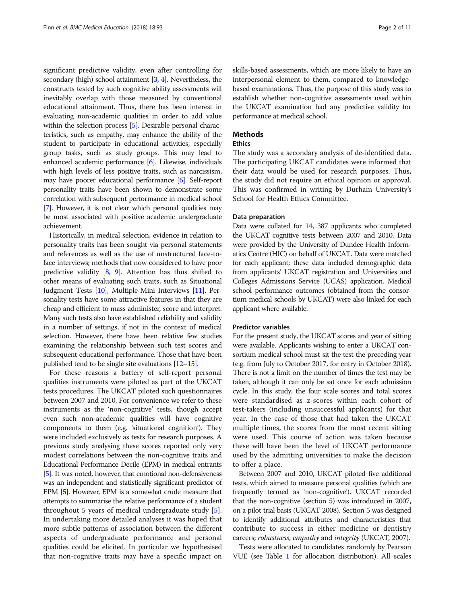significant predictive validity, even after controlling for secondary (high) school attainment [\[3,](#page-10-0) [4](#page-10-0)]. Nevertheless, the constructs tested by such cognitive ability assessments will inevitably overlap with those measured by conventional educational attainment. Thus, there has been interest in evaluating non-academic qualities in order to add value within the selection process [[5\]](#page-10-0). Desirable personal characteristics, such as empathy, may enhance the ability of the student to participate in educational activities, especially group tasks, such as study groups. This may lead to enhanced academic performance [\[6\]](#page-10-0). Likewise, individuals with high levels of less positive traits, such as narcissism, may have poorer educational performance [\[6\]](#page-10-0). Self-report personality traits have been shown to demonstrate some correlation with subsequent performance in medical school [[7](#page-10-0)]. However, it is not clear which personal qualities may be most associated with positive academic undergraduate achievement.

Historically, in medical selection, evidence in relation to personality traits has been sought via personal statements and references as well as the use of unstructured face-toface interviews; methods that now considered to have poor predictive validity  $[8, 9]$  $[8, 9]$  $[8, 9]$  $[8, 9]$ . Attention has thus shifted to other means of evaluating such traits, such as Situational Judgment Tests [[10](#page-10-0)], Multiple-Mini Interviews [\[11\]](#page-10-0). Personality tests have some attractive features in that they are cheap and efficient to mass administer, score and interpret. Many such tests also have established reliability and validity in a number of settings, if not in the context of medical selection. However, there have been relative few studies examining the relationship between such test scores and subsequent educational performance. Those that have been published tend to be single site evaluations [\[12](#page-10-0)–[15\]](#page-10-0).

For these reasons a battery of self-report personal qualities instruments were piloted as part of the UKCAT tests procedures. The UKCAT piloted such questionnaires between 2007 and 2010. For convenience we refer to these instruments as the 'non-cognitive' tests, though accept even such non-academic qualities will have cognitive components to them (e.g. 'situational cognition'). They were included exclusively as tests for research purposes. A previous study analysing these scores reported only very modest correlations between the non-cognitive traits and Educational Performance Decile (EPM) in medical entrants [[5](#page-10-0)]. It was noted, however, that emotional non-defensiveness was an independent and statistically significant predictor of EPM [\[5\]](#page-10-0). However, EPM is a somewhat crude measure that attempts to summarise the relative performance of a student throughout 5 years of medical undergraduate study [\[5](#page-10-0)]. In undertaking more detailed analyses it was hoped that more subtle patterns of association between the different aspects of undergraduate performance and personal qualities could be elicited. In particular we hypothesised that non-cognitive traits may have a specific impact on

skills-based assessments, which are more likely to have an interpersonal element to them, compared to knowledgebased examinations. Thus, the purpose of this study was to establish whether non-cognitive assessments used within the UKCAT examination had any predictive validity for performance at medical school.

#### Methods

#### **Ethics**

The study was a secondary analysis of de-identified data. The participating UKCAT candidates were informed that their data would be used for research purposes. Thus, the study did not require an ethical opinion or approval. This was confirmed in writing by Durham University's School for Health Ethics Committee.

#### Data preparation

Data were collated for 14, 387 applicants who completed the UKCAT cognitive tests between 2007 and 2010. Data were provided by the University of Dundee Health Informatics Centre (HIC) on behalf of UKCAT. Data were matched for each applicant; these data included demographic data from applicants' UKCAT registration and Universities and Colleges Admissions Service (UCAS) application. Medical school performance outcomes (obtained from the consortium medical schools by UKCAT) were also linked for each applicant where available.

## Predictor variables

For the present study, the UKCAT scores and year of sitting were available. Applicants wishing to enter a UKCAT consortium medical school must sit the test the preceding year (e.g. from July to October 2017, for entry in October 2018). There is not a limit on the number of times the test may be taken, although it can only be sat once for each admission cycle. In this study, the four scale scores and total scores were standardised as z-scores within each cohort of test-takers (including unsuccessful applicants) for that year. In the case of those that had taken the UKCAT multiple times, the scores from the most recent sitting were used. This course of action was taken because these will have been the level of UKCAT performance used by the admitting universities to make the decision to offer a place.

Between 2007 and 2010, UKCAT piloted five additional tests, which aimed to measure personal qualities (which are frequently termed as 'non-cognitive'). UKCAT recorded that the non-cognitive (section 5) was introduced in 2007, on a pilot trial basis (UKCAT 2008). Section 5 was designed to identify additional attributes and characteristics that contribute to success in either medicine or dentistry careers; robustness, empathy and integrity (UKCAT, 2007).

Tests were allocated to candidates randomly by Pearson VUE (see Table [1](#page-2-0) for allocation distribution). All scales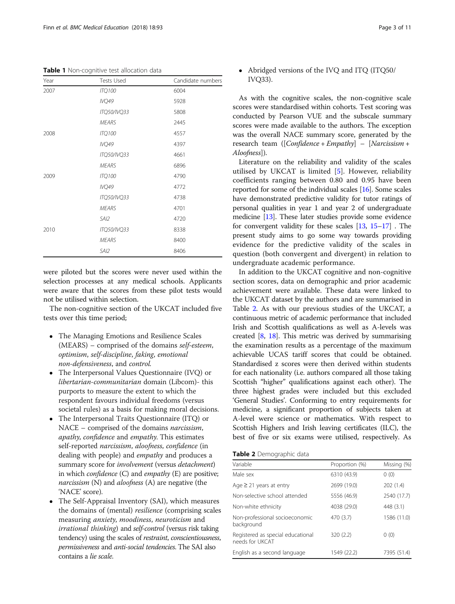<span id="page-2-0"></span>Table 1 Non-cognitive test allocation data

| Year | <b>Tests Used</b> | Candidate numbers |
|------|-------------------|-------------------|
| 2007 | <b>ITQ100</b>     | 6004              |
|      | <b>IVQ49</b>      | 5928              |
|      | ITQ50/IVQ33       | 5808              |
|      | MEARS             | 2445              |
| 2008 | <b>ITQ100</b>     | 4557              |
|      | <b>IVQ49</b>      | 4397              |
|      | ITQ50/IVQ33       | 4661              |
|      | <b>MEARS</b>      | 6896              |
| 2009 | <b>ITQ100</b>     | 4790              |
|      | <b>IVQ49</b>      | 4772              |
|      | ITQ50/IVQ33       | 4738              |
|      | <b>MEARS</b>      | 4701              |
|      | SAI <sub>2</sub>  | 4720              |
| 2010 | ITQ50/IVQ33       | 8338              |
|      | <b>MEARS</b>      | 8400              |
|      | SAI2              | 8406              |

were piloted but the scores were never used within the selection processes at any medical schools. Applicants were aware that the scores from these pilot tests would not be utilised within selection.

The non-cognitive section of the UKCAT included five tests over this time period;

- The Managing Emotions and Resilience Scales (MEARS) – comprised of the domains self-esteem, optimism, self-discipline, faking, emotional non-defensiveness, and control.
- The Interpersonal Values Questionnaire (IVQ) or libertarian-communitarian domain (Libcom)- this purports to measure the extent to which the respondent favours individual freedoms (versus societal rules) as a basis for making moral decisions.
- The Interpersonal Traits Questionnaire (ITQ) or NACE – comprised of the domains *narcissism*, apathy, confidence and empathy. This estimates self-reported narcissism, aloofness, confidence (in dealing with people) and empathy and produces a summary score for *involvement* (versus *detachment*) in which *confidence*  $(C)$  and *empathy*  $(E)$  are positive; narcissism (N) and aloofness (A) are negative (the 'NACE' score).
- The Self-Appraisal Inventory (SAI), which measures the domains of (mental) resilience (comprising scales measuring anxiety, moodiness, neuroticism and irrational thinking) and self-control (versus risk taking tendency) using the scales of restraint, conscientiousness, permissiveness and anti-social tendencies. The SAI also contains a lie scale.

 Abridged versions of the IVQ and ITQ (ITQ50/ IVQ33).

As with the cognitive scales, the non-cognitive scale scores were standardised within cohorts. Test scoring was conducted by Pearson VUE and the subscale summary scores were made available to the authors. The exception was the overall NACE summary score, generated by the research team  $([Confidence + Empathy] - [Narcissism +$ Aloofness]).

Literature on the reliability and validity of the scales utilised by UKCAT is limited [[5](#page-10-0)]. However, reliability coefficients ranging between 0.80 and 0.95 have been reported for some of the individual scales [\[16](#page-10-0)]. Some scales have demonstrated predictive validity for tutor ratings of personal qualities in year 1 and year 2 of undergraduate medicine [[13](#page-10-0)]. These later studies provide some evidence for convergent validity for these scales [\[13,](#page-10-0) [15](#page-10-0)–[17\]](#page-10-0) . The present study aims to go some way towards providing evidence for the predictive validity of the scales in question (both convergent and divergent) in relation to undergraduate academic performance.

In addition to the UKCAT cognitive and non-cognitive section scores, data on demographic and prior academic achievement were available. These data were linked to the UKCAT dataset by the authors and are summarised in Table 2. As with our previous studies of the UKCAT, a continuous metric of academic performance that included Irish and Scottish qualifications as well as A-levels was created [[8,](#page-10-0) [18](#page-10-0)]. This metric was derived by summarising the examination results as a percentage of the maximum achievable UCAS tariff scores that could be obtained. Standardised z scores were then derived within students for each nationality (i.e. authors compared all those taking Scottish "higher" qualifications against each other). The three highest grades were included but this excluded 'General Studies'. Conforming to entry requirements for medicine, a significant proportion of subjects taken at A-level were science or mathematics. With respect to Scottish Highers and Irish leaving certificates (ILC), the best of five or six exams were utilised, respectively. As

| Variable                                             | Proportion (%) | Missing (%) |
|------------------------------------------------------|----------------|-------------|
| Male sex                                             | 6310 (43.9)    | 0(0)        |
| Age $\geq$ 21 years at entry                         | 2699 (19.0)    | 202 (1.4)   |
| Non-selective school attended                        | 5556 (46.9)    | 2540 (17.7) |
| Non-white ethnicity                                  | 4038 (29.0)    | 448 (3.1)   |
| Non-professional socioeconomic<br>background         | 470 (3.7)      | 1586 (11.0) |
| Registered as special educational<br>needs for UKCAT | 320 (2.2)      | 0(0)        |
| English as a second language                         | 1549 (22.2)    | 7395 (51.4) |
|                                                      |                |             |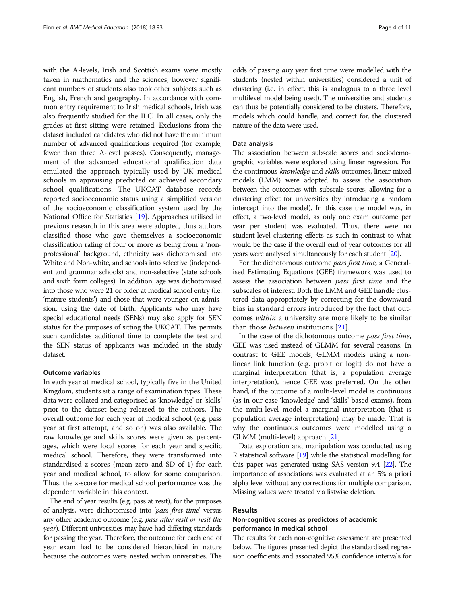with the A-levels, Irish and Scottish exams were mostly taken in mathematics and the sciences, however significant numbers of students also took other subjects such as English, French and geography. In accordance with common entry requirement to Irish medical schools, Irish was also frequently studied for the ILC. In all cases, only the grades at first sitting were retained. Exclusions from the dataset included candidates who did not have the minimum number of advanced qualifications required (for example, fewer than three A-level passes). Consequently, management of the advanced educational qualification data emulated the approach typically used by UK medical schools in appraising predicted or achieved secondary school qualifications. The UKCAT database records reported socioeconomic status using a simplified version of the socioeconomic classification system used by the National Office for Statistics [\[19\]](#page-10-0). Approaches utilised in previous research in this area were adopted, thus authors classified those who gave themselves a socioeconomic classification rating of four or more as being from a 'nonprofessional' background, ethnicity was dichotomised into White and Non-white, and schools into selective (independent and grammar schools) and non-selective (state schools and sixth form colleges). In addition, age was dichotomised into those who were 21 or older at medical school entry (i.e. 'mature students') and those that were younger on admission, using the date of birth. Applicants who may have special educational needs (SENs) may also apply for SEN status for the purposes of sitting the UKCAT. This permits such candidates additional time to complete the test and the SEN status of applicants was included in the study dataset.

#### Outcome variables

In each year at medical school, typically five in the United Kingdom, students sit a range of examination types. These data were collated and categorised as 'knowledge' or 'skills' prior to the dataset being released to the authors. The overall outcome for each year at medical school (e.g. pass year at first attempt, and so on) was also available. The raw knowledge and skills scores were given as percentages, which were local scores for each year and specific medical school. Therefore, they were transformed into standardised z scores (mean zero and SD of 1) for each year and medical school, to allow for some comparison. Thus, the z-score for medical school performance was the dependent variable in this context.

The end of year results (e.g. pass at resit), for the purposes of analysis, were dichotomised into 'pass first time' versus any other academic outcome (e.g. pass after resit or resit the year). Different universities may have had differing standards for passing the year. Therefore, the outcome for each end of year exam had to be considered hierarchical in nature because the outcomes were nested within universities. The odds of passing any year first time were modelled with the students (nested within universities) considered a unit of clustering (i.e. in effect, this is analogous to a three level multilevel model being used). The universities and students can thus be potentially considered to be clusters. Therefore, models which could handle, and correct for, the clustered nature of the data were used.

#### Data analysis

The association between subscale scores and sociodemographic variables were explored using linear regression. For the continuous knowledge and skills outcomes, linear mixed models (LMM) were adopted to assess the association between the outcomes with subscale scores, allowing for a clustering effect for universities (by introducing a random intercept into the model). In this case the model was, in effect, a two-level model, as only one exam outcome per year per student was evaluated. Thus, there were no student-level clustering effects as such in contrast to what would be the case if the overall end of year outcomes for all years were analysed simultaneously for each student [\[20](#page-10-0)].

For the dichotomous outcome pass first time, a Generalised Estimating Equations (GEE) framework was used to assess the association between pass first time and the subscales of interest. Both the LMM and GEE handle clustered data appropriately by correcting for the downward bias in standard errors introduced by the fact that outcomes within a university are more likely to be similar than those *between* institutions  $[21]$  $[21]$ .

In the case of the dichotomous outcome pass first time, GEE was used instead of GLMM for several reasons. In contrast to GEE models, GLMM models using a nonlinear link function (e.g. probit or logit) do not have a marginal interpretation (that is, a population average interpretation), hence GEE was preferred. On the other hand, if the outcome of a multi-level model is continuous (as in our case 'knowledge' and 'skills' based exams), from the multi-level model a marginal interpretation (that is population average interpretation) may be made. That is why the continuous outcomes were modelled using a GLMM (multi-level) approach [[21](#page-10-0)].

Data exploration and manipulation was conducted using R statistical software [\[19\]](#page-10-0) while the statistical modelling for this paper was generated using SAS version 9.4 [[22\]](#page-10-0). The importance of associations was evaluated at an 5% a priori alpha level without any corrections for multiple comparison. Missing values were treated via listwise deletion.

#### Results

# Non-cognitive scores as predictors of academic performance in medical school

The results for each non-cognitive assessment are presented below. The figures presented depict the standardised regression coefficients and associated 95% confidence intervals for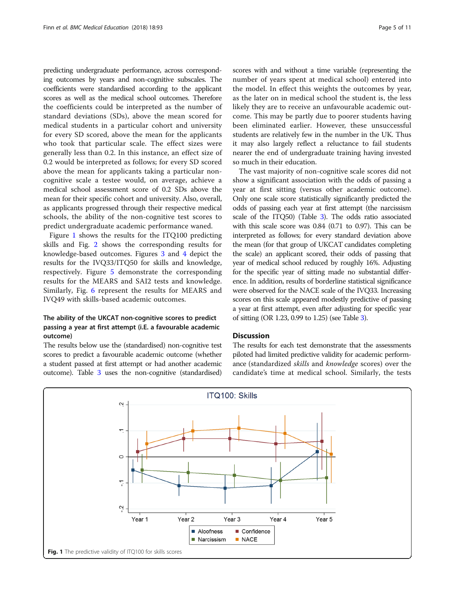predicting undergraduate performance, across corresponding outcomes by years and non-cognitive subscales. The coefficients were standardised according to the applicant scores as well as the medical school outcomes. Therefore the coefficients could be interpreted as the number of standard deviations (SDs), above the mean scored for medical students in a particular cohort and university for every SD scored, above the mean for the applicants who took that particular scale. The effect sizes were generally less than 0.2. In this instance, an effect size of 0.2 would be interpreted as follows; for every SD scored above the mean for applicants taking a particular noncognitive scale a testee would, on average, achieve a medical school assessment score of 0.2 SDs above the mean for their specific cohort and university. Also, overall, as applicants progressed through their respective medical schools, the ability of the non-cognitive test scores to predict undergraduate academic performance waned.

Figure 1 shows the results for the ITQ100 predicting skills and Fig. [2](#page-5-0) shows the corresponding results for knowledge-based outcomes. Figures [3](#page-5-0) and [4](#page-6-0) depict the results for the IVQ33/ITQ50 for skills and knowledge, respectively. Figure [5](#page-6-0) demonstrate the corresponding results for the MEARS and SAI2 tests and knowledge. Similarly, Fig. [6](#page-7-0) represent the results for MEARS and IVQ49 with skills-based academic outcomes.

# The ability of the UKCAT non-cognitive scores to predict passing a year at first attempt (i.E. a favourable academic outcome)

The results below use the (standardised) non-cognitive test scores to predict a favourable academic outcome (whether a student passed at first attempt or had another academic outcome). Table [3](#page-7-0) uses the non-cognitive (standardised) scores with and without a time variable (representing the number of years spent at medical school) entered into the model. In effect this weights the outcomes by year, as the later on in medical school the student is, the less likely they are to receive an unfavourable academic outcome. This may be partly due to poorer students having been eliminated earlier. However, these unsuccessful students are relatively few in the number in the UK. Thus it may also largely reflect a reluctance to fail students nearer the end of undergraduate training having invested so much in their education.

The vast majority of non-cognitive scale scores did not show a significant association with the odds of passing a year at first sitting (versus other academic outcome). Only one scale score statistically significantly predicted the odds of passing each year at first attempt (the narcissism scale of the ITQ50) (Table [3](#page-7-0)). The odds ratio associated with this scale score was 0.84 (0.71 to 0.97). This can be interpreted as follows; for every standard deviation above the mean (for that group of UKCAT candidates completing the scale) an applicant scored, their odds of passing that year of medical school reduced by roughly 16%. Adjusting for the specific year of sitting made no substantial difference. In addition, results of borderline statistical significance were observed for the NACE scale of the IVQ33. Increasing scores on this scale appeared modestly predictive of passing a year at first attempt, even after adjusting for specific year of sitting (OR 1.23, 0.99 to 1.25) (see Table [3\)](#page-7-0).

#### **Discussion**

The results for each test demonstrate that the assessments piloted had limited predictive validity for academic performance (standardized skills and knowledge scores) over the candidate's time at medical school. Similarly, the tests

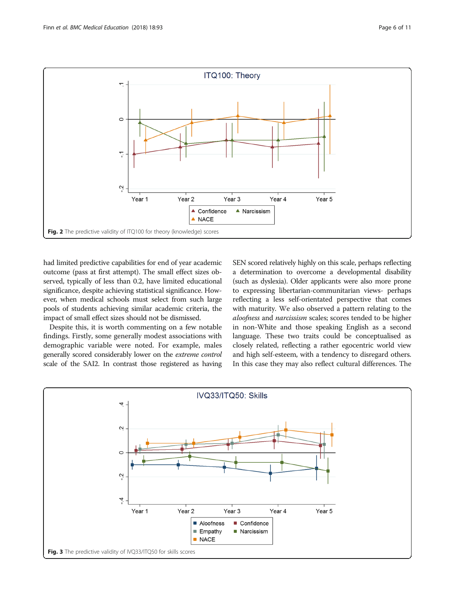<span id="page-5-0"></span>

had limited predictive capabilities for end of year academic outcome (pass at first attempt). The small effect sizes observed, typically of less than 0.2, have limited educational significance, despite achieving statistical significance. However, when medical schools must select from such large pools of students achieving similar academic criteria, the impact of small effect sizes should not be dismissed.

Despite this, it is worth commenting on a few notable findings. Firstly, some generally modest associations with demographic variable were noted. For example, males generally scored considerably lower on the extreme control scale of the SAI2. In contrast those registered as having

SEN scored relatively highly on this scale, perhaps reflecting a determination to overcome a developmental disability (such as dyslexia). Older applicants were also more prone to expressing libertarian-communitarian views- perhaps reflecting a less self-orientated perspective that comes with maturity. We also observed a pattern relating to the aloofness and narcissism scales; scores tended to be higher in non-White and those speaking English as a second language. These two traits could be conceptualised as closely related, reflecting a rather egocentric world view and high self-esteem, with a tendency to disregard others. In this case they may also reflect cultural differences. The

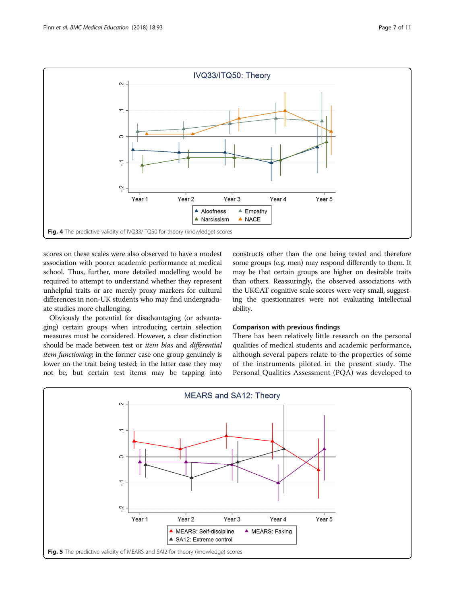<span id="page-6-0"></span>

scores on these scales were also observed to have a modest association with poorer academic performance at medical school. Thus, further, more detailed modelling would be required to attempt to understand whether they represent unhelpful traits or are merely proxy markers for cultural differences in non-UK students who may find undergraduate studies more challenging.

Obviously the potential for disadvantaging (or advantaging) certain groups when introducing certain selection measures must be considered. However, a clear distinction should be made between test or item bias and differential item functioning; in the former case one group genuinely is lower on the trait being tested; in the latter case they may not be, but certain test items may be tapping into constructs other than the one being tested and therefore some groups (e.g. men) may respond differently to them. It may be that certain groups are higher on desirable traits than others. Reassuringly, the observed associations with the UKCAT cognitive scale scores were very small, suggesting the questionnaires were not evaluating intellectual ability.

## Comparison with previous findings

There has been relatively little research on the personal qualities of medical students and academic performance, although several papers relate to the properties of some of the instruments piloted in the present study. The Personal Qualities Assessment (PQA) was developed to

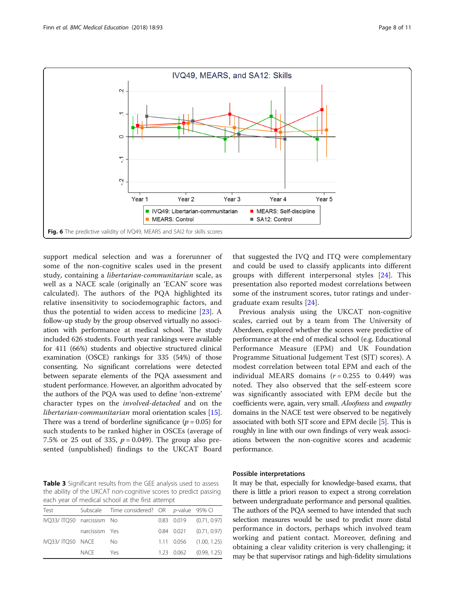<span id="page-7-0"></span>

support medical selection and was a forerunner of some of the non-cognitive scales used in the present study, containing a libertarian-communitarian scale, as well as a NACE scale (originally an 'ECAN' score was calculated). The authors of the PQA highlighted its relative insensitivity to sociodemographic factors, and thus the potential to widen access to medicine [\[23](#page-10-0)]. A follow-up study by the group observed virtually no association with performance at medical school. The study included 626 students. Fourth year rankings were available for 411 (66%) students and objective structured clinical examination (OSCE) rankings for 335 (54%) of those consenting. No significant correlations were detected between separate elements of the PQA assessment and student performance. However, an algorithm advocated by the authors of the PQA was used to define 'non-extreme' character types on the involved-detached and on the libertarian-communitarian moral orientation scales [[15](#page-10-0)]. There was a trend of borderline significance ( $p = 0.05$ ) for such students to be ranked higher in OSCEs (average of 7.5% or 25 out of 335,  $p = 0.049$ ). The group also presented (unpublished) findings to the UKCAT Board

Table 3 Significant results from the GEE analysis used to assess the ability of the UKCAT non-cognitive scores to predict passing each year of medical school at the first attempt

| Test                      |                | Subscale Time considered? OR p-value 95% CI |  |                               |
|---------------------------|----------------|---------------------------------------------|--|-------------------------------|
| IVQ33/ITQ50 narcissism No |                |                                             |  | $0.83$ $0.019$ $(0.71, 0.97)$ |
|                           | narcissism Yes |                                             |  | $0.84$ $0.021$ $(0.71, 0.97)$ |
| IVQ33/ITQ50 NACE          |                | No                                          |  | $1.11$ 0.056 $(1.00, 1.25)$   |
|                           | NACE           | Yes                                         |  | 1.23 0.062 (0.99, 1.25)       |

that suggested the IVQ and ITQ were complementary and could be used to classify applicants into different groups with different interpersonal styles [[24\]](#page-10-0). This presentation also reported modest correlations between some of the instrument scores, tutor ratings and undergraduate exam results [\[24](#page-10-0)].

Previous analysis using the UKCAT non-cognitive scales, carried out by a team from The University of Aberdeen, explored whether the scores were predictive of performance at the end of medical school (e.g. Educational Performance Measure (EPM) and UK Foundation Programme Situational Judgement Test (SJT) scores). A modest correlation between total EPM and each of the individual MEARS domains  $(r = 0.255$  to 0.449) was noted. They also observed that the self-esteem score was significantly associated with EPM decile but the coefficients were, again, very small. Aloofness and empathy domains in the NACE test were observed to be negatively associated with both SJT score and EPM decile [\[5\]](#page-10-0). This is roughly in line with our own findings of very weak associations between the non-cognitive scores and academic performance.

# Possible interpretations

It may be that, especially for knowledge-based exams, that there is little a priori reason to expect a strong correlation between undergraduate performance and personal qualities. The authors of the PQA seemed to have intended that such selection measures would be used to predict more distal performance in doctors, perhaps which involved team working and patient contact. Moreover, defining and obtaining a clear validity criterion is very challenging; it may be that supervisor ratings and high-fidelity simulations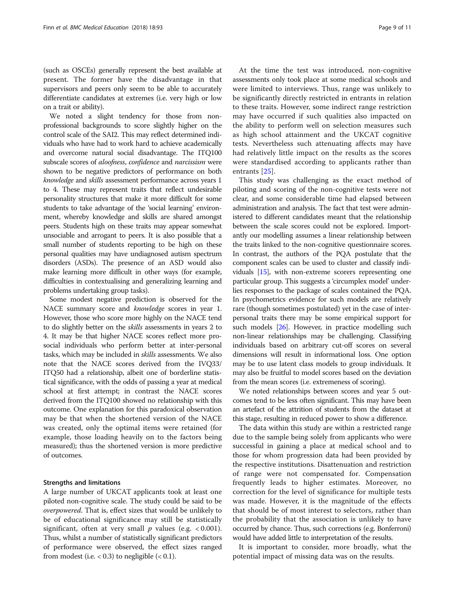(such as OSCEs) generally represent the best available at present. The former have the disadvantage in that supervisors and peers only seem to be able to accurately differentiate candidates at extremes (i.e. very high or low on a trait or ability).

We noted a slight tendency for those from nonprofessional backgrounds to score slightly higher on the control scale of the SAI2. This may reflect determined individuals who have had to work hard to achieve academically and overcome natural social disadvantage. The ITQ100 subscale scores of aloofness, confidence and narcissism were shown to be negative predictors of performance on both knowledge and skills assessment performance across years 1 to 4. These may represent traits that reflect undesirable personality structures that make it more difficult for some students to take advantage of the 'social learning' environment, whereby knowledge and skills are shared amongst peers. Students high on these traits may appear somewhat unsociable and arrogant to peers. It is also possible that a small number of students reporting to be high on these personal qualities may have undiagnosed autism spectrum disorders (ASDs). The presence of an ASD would also make learning more difficult in other ways (for example, difficulties in contextualising and generalizing learning and problems undertaking group tasks).

Some modest negative prediction is observed for the NACE summary score and knowledge scores in year 1. However, those who score more highly on the NACE tend to do slightly better on the skills assessments in years 2 to 4. It may be that higher NACE scores reflect more prosocial individuals who perform better at inter-personal tasks, which may be included in skills assessments. We also note that the NACE scores derived from the IVQ33/ ITQ50 had a relationship, albeit one of borderline statistical significance, with the odds of passing a year at medical school at first attempt; in contrast the NACE scores derived from the ITQ100 showed no relationship with this outcome. One explanation for this paradoxical observation may be that when the shortened version of the NACE was created, only the optimal items were retained (for example, those loading heavily on to the factors being measured); thus the shortened version is more predictive of outcomes.

# Strengths and limitations

A large number of UKCAT applicants took at least one piloted non-cognitive scale. The study could be said to be overpowered. That is, effect sizes that would be unlikely to be of educational significance may still be statistically significant, often at very small  $p$  values (e.g.  $< 0.001$ ). Thus, whilst a number of statistically significant predictors of performance were observed, the effect sizes ranged from modest (i.e.  $< 0.3$ ) to negligible  $(< 0.1)$ .

At the time the test was introduced, non-cognitive assessments only took place at some medical schools and were limited to interviews. Thus, range was unlikely to be significantly directly restricted in entrants in relation to these traits. However, some indirect range restriction may have occurred if such qualities also impacted on the ability to perform well on selection measures such as high school attainment and the UKCAT cognitive tests. Nevertheless such attenuating affects may have had relatively little impact on the results as the scores were standardised according to applicants rather than entrants [\[25](#page-10-0)].

This study was challenging as the exact method of piloting and scoring of the non-cognitive tests were not clear, and some considerable time had elapsed between administration and analysis. The fact that test were administered to different candidates meant that the relationship between the scale scores could not be explored. Importantly our modelling assumes a linear relationship between the traits linked to the non-cognitive questionnaire scores. In contrast, the authors of the PQA postulate that the component scales can be used to cluster and classify individuals [\[15](#page-10-0)], with non-extreme scorers representing one particular group. This suggests a 'circumplex model' underlies responses to the package of scales contained the PQA. In psychometrics evidence for such models are relatively rare (though sometimes postulated) yet in the case of interpersonal traits there may be some empirical support for such models [[26](#page-10-0)]. However, in practice modelling such non-linear relationships may be challenging. Classifying individuals based on arbitrary cut-off scores on several dimensions will result in informational loss. One option may be to use latent class models to group individuals. It may also be fruitful to model scores based on the deviation from the mean scores (i.e. extremeness of scoring).

We noted relationships between scores and year 5 outcomes tend to be less often significant. This may have been an artefact of the attrition of students from the dataset at this stage, resulting in reduced power to show a difference.

The data within this study are within a restricted range due to the sample being solely from applicants who were successful in gaining a place at medical school and to those for whom progression data had been provided by the respective institutions. Disattenuation and restriction of range were not compensated for. Compensation frequently leads to higher estimates. Moreover, no correction for the level of significance for multiple tests was made. However, it is the magnitude of the effects that should be of most interest to selectors, rather than the probability that the association is unlikely to have occurred by chance. Thus, such corrections (e.g. Bonferroni) would have added little to interpretation of the results.

It is important to consider, more broadly, what the potential impact of missing data was on the results.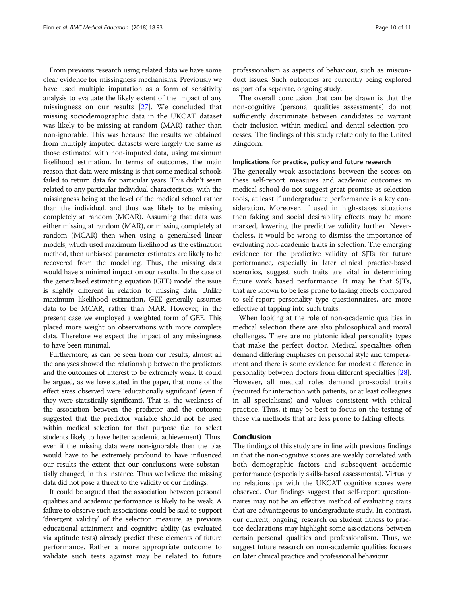From previous research using related data we have some clear evidence for missingness mechanisms. Previously we have used multiple imputation as a form of sensitivity analysis to evaluate the likely extent of the impact of any missingness on our results [\[27](#page-10-0)]. We concluded that missing sociodemographic data in the UKCAT dataset was likely to be missing at random (MAR) rather than non-ignorable. This was because the results we obtained from multiply imputed datasets were largely the same as those estimated with non-imputed data, using maximum likelihood estimation. In terms of outcomes, the main reason that data were missing is that some medical schools failed to return data for particular years. This didn't seem related to any particular individual characteristics, with the missingness being at the level of the medical school rather than the individual, and thus was likely to be missing completely at random (MCAR). Assuming that data was either missing at random (MAR), or missing completely at random (MCAR) then when using a generalised linear models, which used maximum likelihood as the estimation method, then unbiased parameter estimates are likely to be recovered from the modelling. Thus, the missing data would have a minimal impact on our results. In the case of the generalised estimating equation (GEE) model the issue is slightly different in relation to missing data. Unlike maximum likelihood estimation, GEE generally assumes data to be MCAR, rather than MAR. However, in the present case we employed a weighted form of GEE. This placed more weight on observations with more complete data. Therefore we expect the impact of any missingness to have been minimal.

Furthermore, as can be seen from our results, almost all the analyses showed the relationship between the predictors and the outcomes of interest to be extremely weak. It could be argued, as we have stated in the paper, that none of the effect sizes observed were 'educationally significant' (even if they were statistically significant). That is, the weakness of the association between the predictor and the outcome suggested that the predictor variable should not be used within medical selection for that purpose (i.e. to select students likely to have better academic achievement). Thus, even if the missing data were non-ignorable then the bias would have to be extremely profound to have influenced our results the extent that our conclusions were substantially changed, in this instance. Thus we believe the missing data did not pose a threat to the validity of our findings.

It could be argued that the association between personal qualities and academic performance is likely to be weak. A failure to observe such associations could be said to support 'divergent validity' of the selection measure, as previous educational attainment and cognitive ability (as evaluated via aptitude tests) already predict these elements of future performance. Rather a more appropriate outcome to validate such tests against may be related to future professionalism as aspects of behaviour, such as misconduct issues. Such outcomes are currently being explored as part of a separate, ongoing study.

The overall conclusion that can be drawn is that the non-cognitive (personal qualities assessments) do not sufficiently discriminate between candidates to warrant their inclusion within medical and dental selection processes. The findings of this study relate only to the United Kingdom.

#### Implications for practice, policy and future research

The generally weak associations between the scores on these self-report measures and academic outcomes in medical school do not suggest great promise as selection tools, at least if undergraduate performance is a key consideration. Moreover, if used in high-stakes situations then faking and social desirability effects may be more marked, lowering the predictive validity further. Nevertheless, it would be wrong to dismiss the importance of evaluating non-academic traits in selection. The emerging evidence for the predictive validity of SJTs for future performance, especially in later clinical practice-based scenarios, suggest such traits are vital in determining future work based performance. It may be that SJTs, that are known to be less prone to faking effects compared to self-report personality type questionnaires, are more effective at tapping into such traits.

When looking at the role of non-academic qualities in medical selection there are also philosophical and moral challenges. There are no platonic ideal personality types that make the perfect doctor. Medical specialties often demand differing emphases on personal style and temperament and there is some evidence for modest difference in personality between doctors from different specialties [[28](#page-10-0)]. However, all medical roles demand pro-social traits (required for interaction with patients, or at least colleagues in all specialisms) and values consistent with ethical practice. Thus, it may be best to focus on the testing of these via methods that are less prone to faking effects.

# Conclusion

The findings of this study are in line with previous findings in that the non-cognitive scores are weakly correlated with both demographic factors and subsequent academic performance (especially skills-based assessments). Virtually no relationships with the UKCAT cognitive scores were observed. Our findings suggest that self-report questionnaires may not be an effective method of evaluating traits that are advantageous to undergraduate study. In contrast, our current, ongoing, research on student fitness to practice declarations may highlight some associations between certain personal qualities and professionalism. Thus, we suggest future research on non-academic qualities focuses on later clinical practice and professional behaviour.